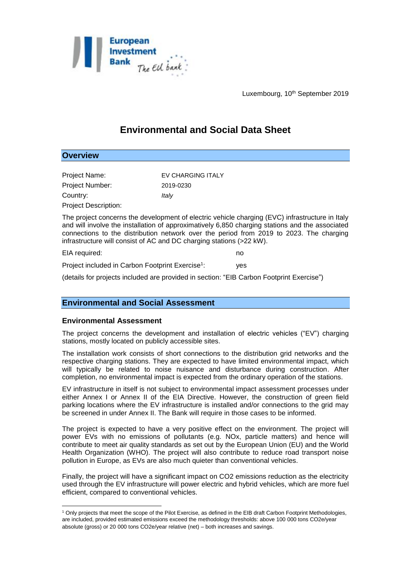

Luxembourg, 10<sup>th</sup> September 2019

# **Environmental and Social Data Sheet**

# **Overview**

| Project Name:          | EV CHARGING ITALY |
|------------------------|-------------------|
| <b>Project Number:</b> | 2019-0230         |
| Country:               | Italy             |
| Project Description:   |                   |

The project concerns the development of electric vehicle charging (EVC) infrastructure in Italy and will involve the installation of approximatively 6,850 charging stations and the associated connections to the distribution network over the period from 2019 to 2023. The charging infrastructure will consist of AC and DC charging stations (>22 kW).

EIA required: no Project included in Carbon Footprint Exercise<sup>1</sup>: : yes

(details for projects included are provided in section: "EIB Carbon Footprint Exercise")

## **Environmental and Social Assessment**

#### **Environmental Assessment**

The project concerns the development and installation of electric vehicles ("EV") charging stations, mostly located on publicly accessible sites.

The installation work consists of short connections to the distribution grid networks and the respective charging stations. They are expected to have limited environmental impact, which will typically be related to noise nuisance and disturbance during construction. After completion, no environmental impact is expected from the ordinary operation of the stations.

EV infrastructure in itself is not subject to environmental impact assessment processes under either Annex I or Annex II of the EIA Directive. However, the construction of green field parking locations where the EV infrastructure is installed and/or connections to the grid may be screened in under Annex II. The Bank will require in those cases to be informed.

The project is expected to have a very positive effect on the environment. The project will power EVs with no emissions of pollutants (e.g. NOx, particle matters) and hence will contribute to meet air quality standards as set out by the European Union (EU) and the World Health Organization (WHO). The project will also contribute to reduce road transport noise pollution in Europe, as EVs are also much quieter than conventional vehicles.

Finally, the project will have a significant impact on CO2 emissions reduction as the electricity used through the EV infrastructure will power electric and hybrid vehicles, which are more fuel efficient, compared to conventional vehicles.

<sup>&</sup>lt;u>.</u> <sup>1</sup> Only projects that meet the scope of the Pilot Exercise, as defined in the EIB draft Carbon Footprint Methodologies, are included, provided estimated emissions exceed the methodology thresholds: above 100 000 tons CO2e/year absolute (gross) or 20 000 tons CO2e/year relative (net) – both increases and savings.